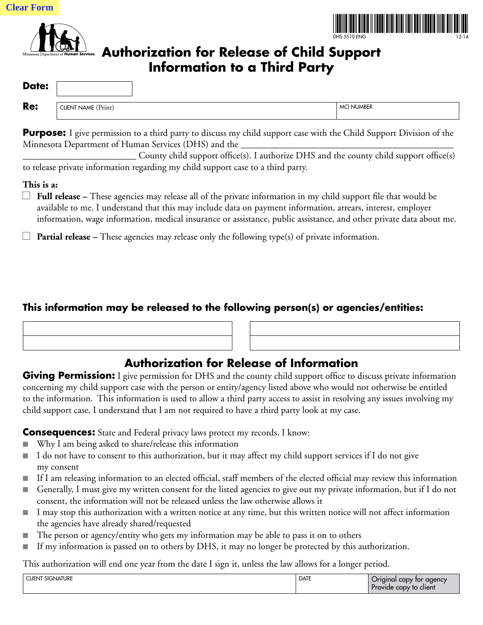



## **Authorization for Release of Child Support Information to a Third Party**

| Date: |                     |                   |
|-------|---------------------|-------------------|
| Re:   | CLIENT NAME (Print) | <b>MCI NUMBER</b> |

**Purpose:** I give permission to a third party to discuss my child support case with the Child Support Division of the Minnesota Department of Human Services (DHS) and the

\_\_\_\_\_\_\_\_\_\_\_\_\_\_\_\_\_\_\_\_\_\_\_\_ County child support office(s). I authorize DHS and the county child support office(s) to release private information regarding my child support case to a third party.

## **This is a:**

- $\Box$  **Full release** These agencies may release all of the private information in my child support file that would be available to me. I understand that this may include data on payment information, arrears, interest, employer information, wage information, medical insurance or assistance, public assistance, and other private data about me.
- **E Partial release** These agencies may release only the following type(s) of private information.

## **This information may be released to the following person(s) or agencies/entities:**

## **Authorization for Release of Information**

**Giving Permission:** I give permission for DHS and the county child support office to discuss private information concerning my child support case with the person or entity/agency listed above who would not otherwise be entitled to the information. This information is used to allow a third party access to assist in resolving any issues involving my child support case. I understand that I am not required to have a third party look at my case.

**Consequences:** State and Federal privacy laws protect my records. I know:

- Why I am being asked to share/release this information
- I do not have to consent to this authorization, but it may affect my child support services if I do not give my consent
- If I am releasing information to an elected official, staff members of the elected official may review this information
- Generally, I must give my written consent for the listed agencies to give out my private information, but if I do not consent, the information will not be released unless the law otherwise allows it
- I may stop this authorization with a written notice at any time, but this written notice will not affect information the agencies have already shared/requested
- The person or agency/entity who gets my information may be able to pass it on to others
- If my information is passed on to others by DHS, it may no longer be protected by this authorization.

This authorization will end one year from the date I sign it, unless the law allows for a longer period.

| <b>CLIENT SIGNATURE</b> | <b>DATE</b> | $\sim$<br>Original copy for agency<br>Provide copy to client |
|-------------------------|-------------|--------------------------------------------------------------|
|                         |             |                                                              |